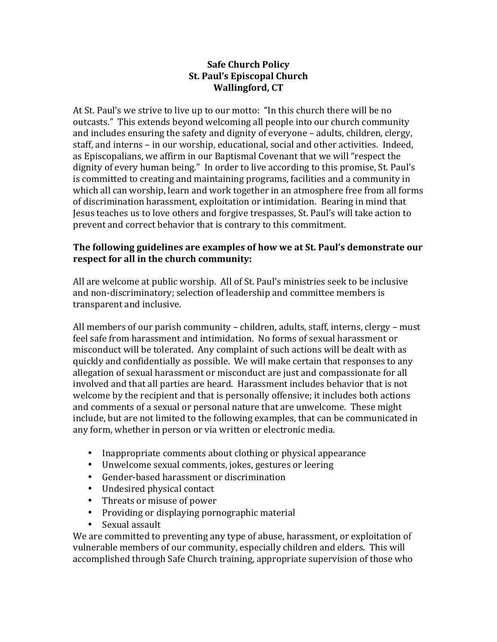## **Safe Church Policy St. Paul's Episcopal Church Wallingford, CT**

At St. Paul's we strive to live up to our motto: "In this church there will be no outcasts." This extends beyond welcoming all people into our church community and includes ensuring the safety and dignity of everyone – adults, children, clergy, staff, and interns – in our worship, educational, social and other activities. Indeed, as Episcopalians, we affirm in our Baptismal Covenant that we will "respect the dignity of every human being." In order to live according to this promise, St. Paul's is committed to creating and maintaining programs, facilities and a community in which all can worship, learn and work together in an atmosphere free from all forms of discrimination harassment, exploitation or intimidation. Bearing in mind that Jesus teaches us to love others and forgive trespasses, St. Paul's will take action to prevent and correct behavior that is contrary to this commitment.

## The following guidelines are examples of how we at St. Paul's demonstrate our **respect for all in the church community:**

All are welcome at public worship. All of St. Paul's ministries seek to be inclusive and non-discriminatory; selection of leadership and committee members is transparent and inclusive.

All members of our parish community – children, adults, staff, interns, clergy – must feel safe from harassment and intimidation. No forms of sexual harassment or misconduct will be tolerated. Any complaint of such actions will be dealt with as quickly and confidentially as possible. We will make certain that responses to any allegation of sexual harassment or misconduct are just and compassionate for all involved and that all parties are heard. Harassment includes behavior that is not welcome by the recipient and that is personally offensive; it includes both actions and comments of a sexual or personal nature that are unwelcome. These might include, but are not limited to the following examples, that can be communicated in any form, whether in person or via written or electronic media.

- Inappropriate comments about clothing or physical appearance
- Unwelcome sexual comments, jokes, gestures or leering
- Gender-based harassment or discrimination
- Undesired physical contact
- Threats or misuse of power
- Providing or displaying pornographic material
- Sexual assault

We are committed to preventing any type of abuse, harassment, or exploitation of vulnerable members of our community, especially children and elders. This will accomplished through Safe Church training, appropriate supervision of those who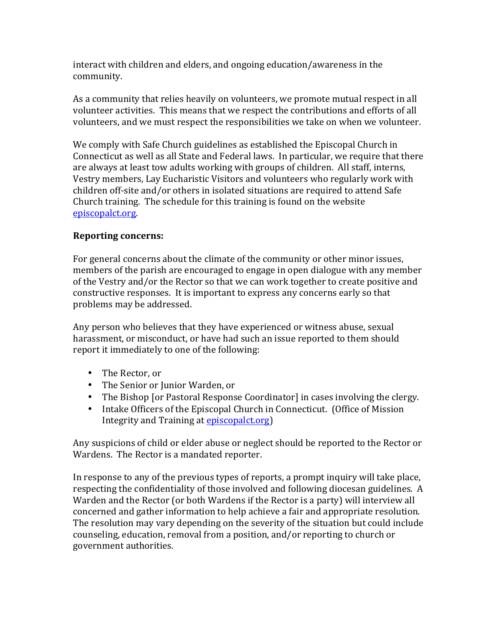interact with children and elders, and ongoing education/awareness in the community. 

As a community that relies heavily on volunteers, we promote mutual respect in all volunteer activities. This means that we respect the contributions and efforts of all volunteers, and we must respect the responsibilities we take on when we volunteer.

We comply with Safe Church guidelines as established the Episcopal Church in Connecticut as well as all State and Federal laws. In particular, we require that there are always at least tow adults working with groups of children. All staff, interns, Vestry members, Lay Eucharistic Visitors and volunteers who regularly work with children off-site and/or others in isolated situations are required to attend Safe Church training. The schedule for this training is found on the website episcopalct.org.

## **Reporting concerns:**

For general concerns about the climate of the community or other minor issues, members of the parish are encouraged to engage in open dialogue with any member of the Vestry and/or the Rector so that we can work together to create positive and constructive responses. It is important to express any concerns early so that problems may be addressed.

Any person who believes that they have experienced or witness abuse, sexual harassment, or misconduct, or have had such an issue reported to them should report it immediately to one of the following:

- The Rector, or
- The Senior or Junior Warden, or
- The Bishop [or Pastoral Response Coordinator] in cases involving the clergy.
- Intake Officers of the Episcopal Church in Connecticut. (Office of Mission Integrity and Training at episcopalct.org)

Any suspicions of child or elder abuse or neglect should be reported to the Rector or Wardens. The Rector is a mandated reporter.

In response to any of the previous types of reports, a prompt inquiry will take place, respecting the confidentiality of those involved and following diocesan guidelines. A Warden and the Rector (or both Wardens if the Rector is a party) will interview all concerned and gather information to help achieve a fair and appropriate resolution. The resolution may vary depending on the severity of the situation but could include counseling, education, removal from a position, and/or reporting to church or government authorities.